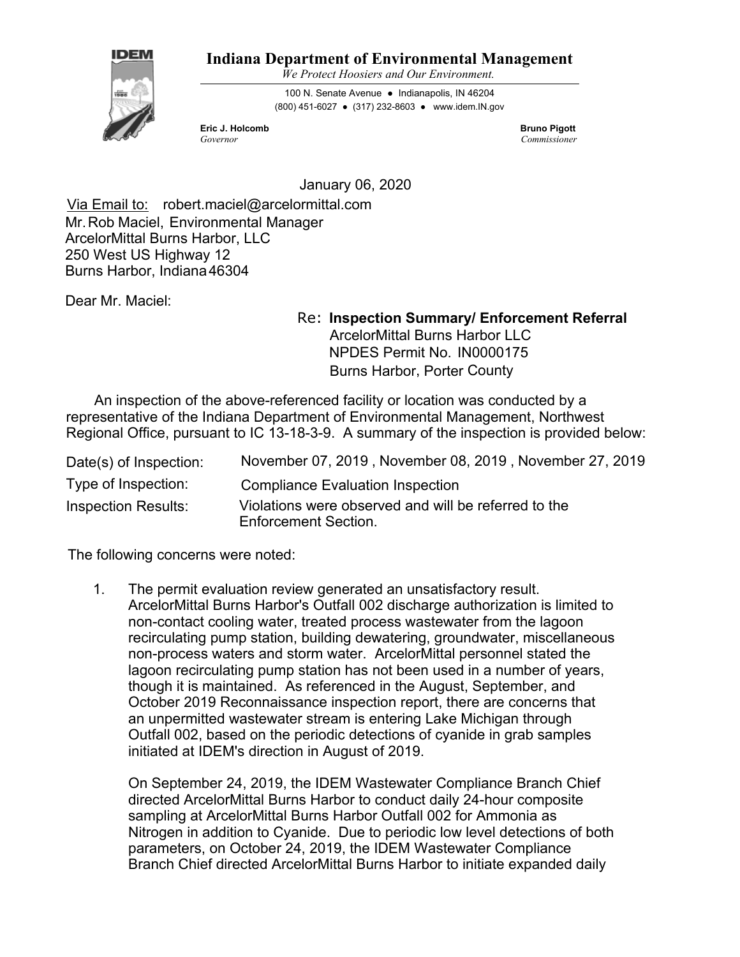

# **Indiana Department of Environmental Management**

*We Protect Hoosiers and Our Environment.*

100 N. Senate Avenue ● Indianapolis, IN 46204 (800) 451-6027 ● (317) 232-8603 ● www.idem.IN.gov

**Eric J. Holcomb** Bruno Pigott **Bruno Pigott** *Governor Commissioner*

January 06, 2020

Burns Harbor, Indiana 46304 Via Email to: robert.maciel@arcelormittal.com Mr.Rob Maciel, Environmental Manager ArcelorMittal Burns Harbor, LLC 250 West US Highway 12

Dear Mr. Maciel:

Re: **Inspection Summary/ Enforcement Referral** Burns Harbor, Porter County ArcelorMittal Burns Harbor LLC NPDES Permit No. IN0000175

 An inspection of the above-referenced facility or location was conducted by a representative of the Indiana Department of Environmental Management, Northwest Regional Office, pursuant to IC 13-18-3-9. A summary of the inspection is provided below:

| Date(s) of Inspection:     | November 07, 2019, November 08, 2019, November 27, 2019                             |
|----------------------------|-------------------------------------------------------------------------------------|
| Type of Inspection:        | <b>Compliance Evaluation Inspection</b>                                             |
| <b>Inspection Results:</b> | Violations were observed and will be referred to the<br><b>Enforcement Section.</b> |

The following concerns were noted:

1. The permit evaluation review generated an unsatisfactory result. ArcelorMittal Burns Harbor's Outfall 002 discharge authorization is limited to non-contact cooling water, treated process wastewater from the lagoon recirculating pump station, building dewatering, groundwater, miscellaneous non-process waters and storm water. ArcelorMittal personnel stated the lagoon recirculating pump station has not been used in a number of years, though it is maintained. As referenced in the August, September, and October 2019 Reconnaissance inspection report, there are concerns that an unpermitted wastewater stream is entering Lake Michigan through Outfall 002, based on the periodic detections of cyanide in grab samples initiated at IDEM's direction in August of 2019.

On September 24, 2019, the IDEM Wastewater Compliance Branch Chief directed ArcelorMittal Burns Harbor to conduct daily 24-hour composite sampling at ArcelorMittal Burns Harbor Outfall 002 for Ammonia as Nitrogen in addition to Cyanide. Due to periodic low level detections of both parameters, on October 24, 2019, the IDEM Wastewater Compliance Branch Chief directed ArcelorMittal Burns Harbor to initiate expanded daily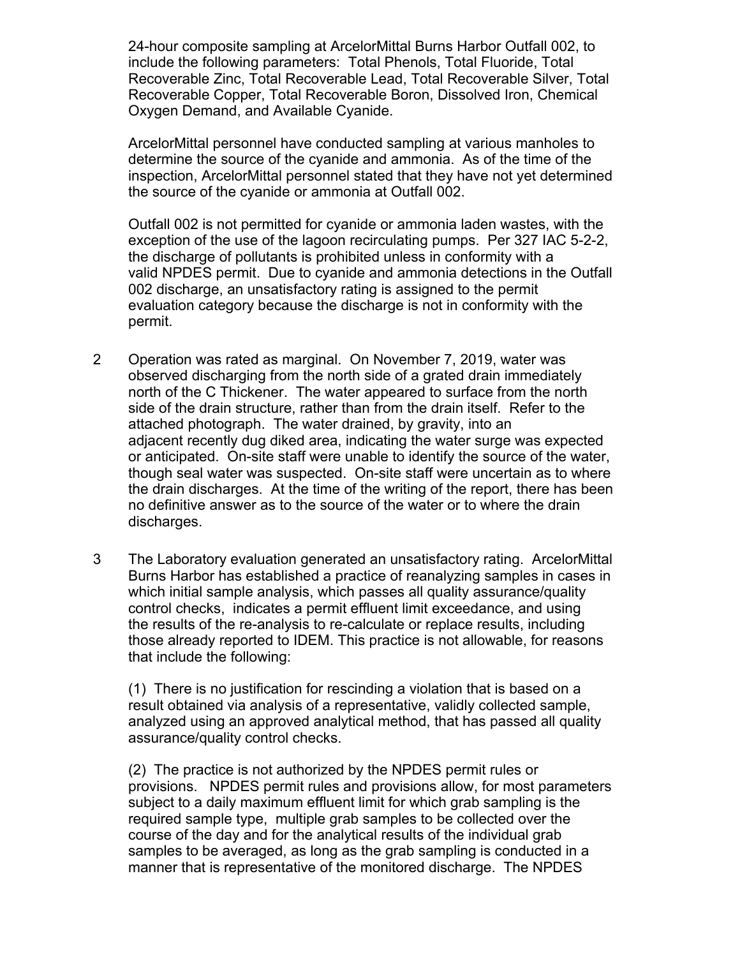24-hour composite sampling at ArcelorMittal Burns Harbor Outfall 002, to include the following parameters: Total Phenols, Total Fluoride, Total Recoverable Zinc, Total Recoverable Lead, Total Recoverable Silver, Total Recoverable Copper, Total Recoverable Boron, Dissolved Iron, Chemical Oxygen Demand, and Available Cyanide.

ArcelorMittal personnel have conducted sampling at various manholes to determine the source of the cyanide and ammonia. As of the time of the inspection, ArcelorMittal personnel stated that they have not yet determined the source of the cyanide or ammonia at Outfall 002.

Outfall 002 is not permitted for cyanide or ammonia laden wastes, with the exception of the use of the lagoon recirculating pumps. Per 327 IAC 5-2-2, the discharge of pollutants is prohibited unless in conformity with a valid NPDES permit. Due to cyanide and ammonia detections in the Outfall 002 discharge, an unsatisfactory rating is assigned to the permit evaluation category because the discharge is not in conformity with the permit.

- 2 Operation was rated as marginal. On November 7, 2019, water was observed discharging from the north side of a grated drain immediately north of the C Thickener. The water appeared to surface from the north side of the drain structure, rather than from the drain itself. Refer to the attached photograph. The water drained, by gravity, into an adjacent recently dug diked area, indicating the water surge was expected or anticipated. On-site staff were unable to identify the source of the water, though seal water was suspected. On-site staff were uncertain as to where the drain discharges. At the time of the writing of the report, there has been no definitive answer as to the source of the water or to where the drain discharges.
- 3 The Laboratory evaluation generated an unsatisfactory rating. ArcelorMittal Burns Harbor has established a practice of reanalyzing samples in cases in which initial sample analysis, which passes all quality assurance/quality control checks, indicates a permit effluent limit exceedance, and using the results of the re-analysis to re-calculate or replace results, including those already reported to IDEM. This practice is not allowable, for reasons that include the following:

(1) There is no justification for rescinding a violation that is based on a result obtained via analysis of a representative, validly collected sample, analyzed using an approved analytical method, that has passed all quality assurance/quality control checks.

(2) The practice is not authorized by the NPDES permit rules or provisions. NPDES permit rules and provisions allow, for most parameters subject to a daily maximum effluent limit for which grab sampling is the required sample type, multiple grab samples to be collected over the course of the day and for the analytical results of the individual grab samples to be averaged, as long as the grab sampling is conducted in a manner that is representative of the monitored discharge. The NPDES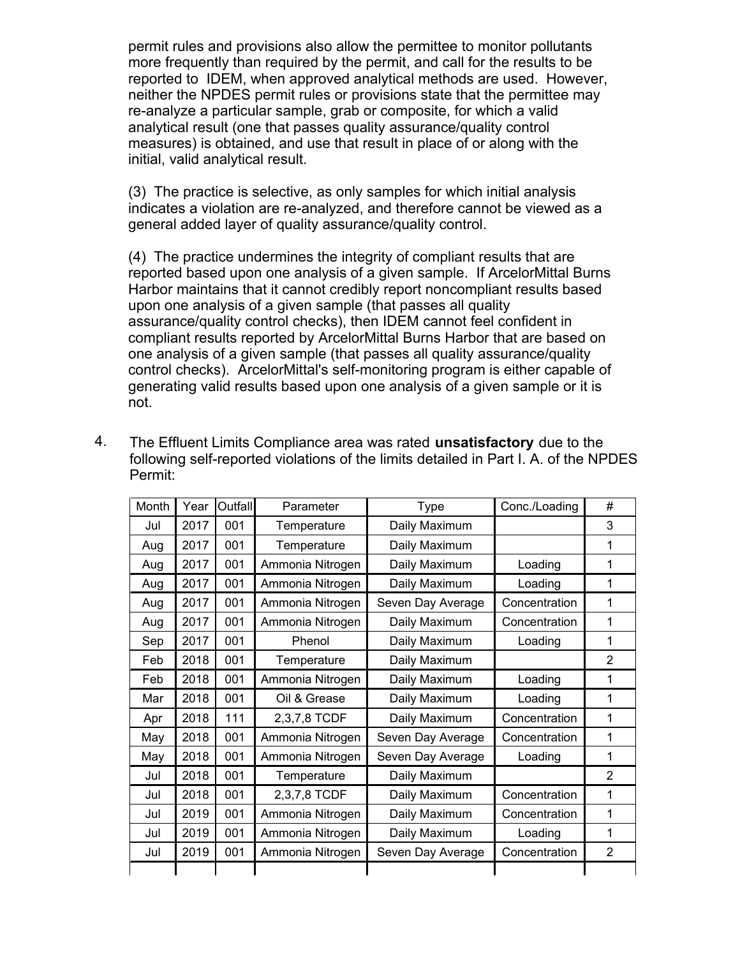permit rules and provisions also allow the permittee to monitor pollutants more frequently than required by the permit, and call for the results to be reported to IDEM, when approved analytical methods are used. However, neither the NPDES permit rules or provisions state that the permittee may re-analyze a particular sample, grab or composite, for which a valid analytical result (one that passes quality assurance/quality control measures) is obtained, and use that result in place of or along with the initial, valid analytical result.

(3) The practice is selective, as only samples for which initial analysis indicates a violation are re-analyzed, and therefore cannot be viewed as a general added layer of quality assurance/quality control.

(4) The practice undermines the integrity of compliant results that are reported based upon one analysis of a given sample. If ArcelorMittal Burns Harbor maintains that it cannot credibly report noncompliant results based upon one analysis of a given sample (that passes all quality assurance/quality control checks), then IDEM cannot feel confident in compliant results reported by ArcelorMittal Burns Harbor that are based on one analysis of a given sample (that passes all quality assurance/quality control checks). ArcelorMittal's self-monitoring program is either capable of generating valid results based upon one analysis of a given sample or it is not.

| Month | Year | Outfall | Parameter        | <b>Type</b>       | Conc./Loading |                |
|-------|------|---------|------------------|-------------------|---------------|----------------|
| Jul   | 2017 | 001     | Temperature      | Daily Maximum     |               | 3              |
| Aug   | 2017 | 001     | Temperature      | Daily Maximum     |               | 1              |
| Aug   | 2017 | 001     | Ammonia Nitrogen | Daily Maximum     | Loading       | 1              |
| Aug   | 2017 | 001     | Ammonia Nitrogen | Daily Maximum     | Loading       | 1              |
| Aug   | 2017 | 001     | Ammonia Nitrogen | Seven Day Average | Concentration | 1              |
| Aug   | 2017 | 001     | Ammonia Nitrogen | Daily Maximum     | Concentration | 1              |
| Sep   | 2017 | 001     | Phenol           | Daily Maximum     | Loading       | 1              |
| Feb   | 2018 | 001     | Temperature      | Daily Maximum     |               | 2              |
| Feb   | 2018 | 001     | Ammonia Nitrogen | Daily Maximum     | Loading       | 1              |
| Mar   | 2018 | 001     | Oil & Grease     | Daily Maximum     | Loading       | 1              |
| Apr   | 2018 | 111     | 2,3,7,8 TCDF     | Daily Maximum     | Concentration | 1              |
| May   | 2018 | 001     | Ammonia Nitrogen | Seven Day Average | Concentration | 1              |
| May   | 2018 | 001     | Ammonia Nitrogen | Seven Day Average | Loading       | 1              |
| Jul   | 2018 | 001     | Temperature      | Daily Maximum     |               | 2              |
| Jul   | 2018 | 001     | 2,3,7,8 TCDF     | Daily Maximum     | Concentration | 1              |
| Jul   | 2019 | 001     | Ammonia Nitrogen | Daily Maximum     | Concentration | 1              |
| Jul   | 2019 | 001     | Ammonia Nitrogen | Daily Maximum     | Loading       | 1              |
| Jul   | 2019 | 001     | Ammonia Nitrogen | Seven Day Average | Concentration | $\overline{2}$ |
|       |      |         |                  |                   |               |                |

4. The Effluent Limits Compliance area was rated **unsatisfactory** due to the following self-reported violations of the limits detailed in Part I. A. of the NPDES Permit: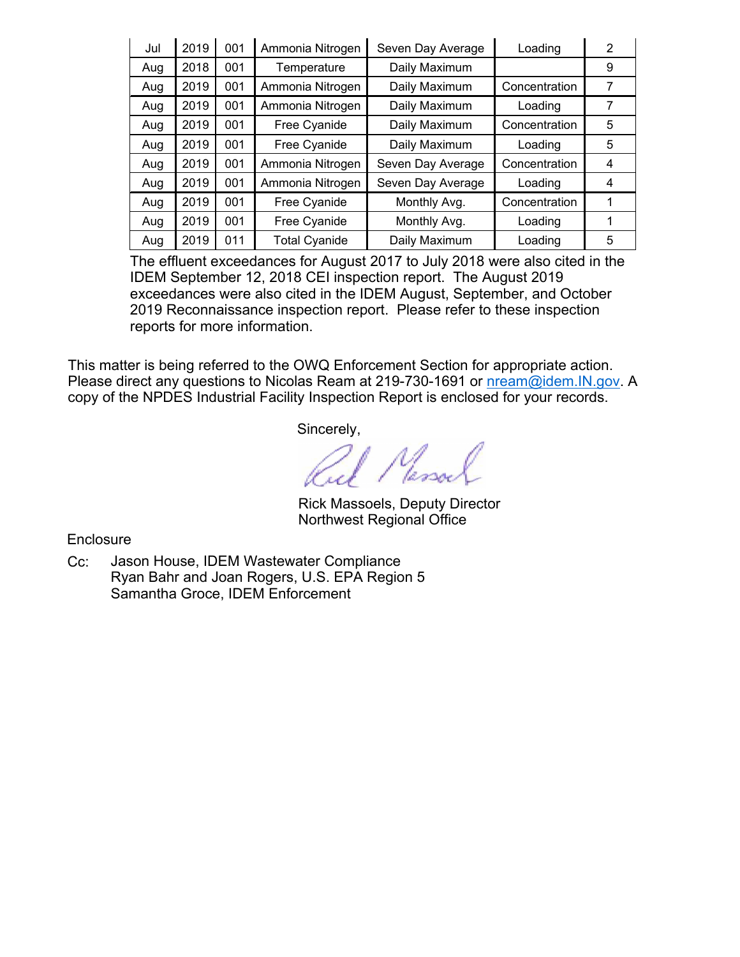| Jul | 2019 | 001 | Ammonia Nitrogen     | Seven Day Average | Loading       | 2 |
|-----|------|-----|----------------------|-------------------|---------------|---|
| Aug | 2018 | 001 | Temperature          | Daily Maximum     |               | 9 |
| Aug | 2019 | 001 | Ammonia Nitrogen     | Daily Maximum     | Concentration | 7 |
| Aug | 2019 | 001 | Ammonia Nitrogen     | Daily Maximum     | Loading       | 7 |
| Aug | 2019 | 001 | Free Cyanide         | Daily Maximum     | Concentration | 5 |
| Aug | 2019 | 001 | Free Cyanide         | Daily Maximum     | Loading       | 5 |
| Aug | 2019 | 001 | Ammonia Nitrogen     | Seven Day Average | Concentration | 4 |
| Aug | 2019 | 001 | Ammonia Nitrogen     | Seven Day Average | Loading       | 4 |
| Aug | 2019 | 001 | Free Cyanide         | Monthly Avg.      | Concentration | 1 |
| Aug | 2019 | 001 | Free Cyanide         | Monthly Avg.      | Loading       | 1 |
| Aug | 2019 | 011 | <b>Total Cyanide</b> | Daily Maximum     | Loading       | 5 |

The effluent exceedances for August 2017 to July 2018 were also cited in the IDEM September 12, 2018 CEI inspection report. The August 2019 exceedances were also cited in the IDEM August, September, and October 2019 Reconnaissance inspection report. Please refer to these inspection reports for more information.

This matter is being referred to the OWQ Enforcement Section for appropriate action. Please direct any questions to Nicolas Ream at 219-730-1691 or nream@idem.IN.gov. A copy of the NPDES Industrial Facility Inspection Report is enclosed for your records.

Sincerely,

Rul Massach

Rick Massoels, Deputy Director Northwest Regional Office

**Enclosure** 

Cc: Jason House, IDEM Wastewater Compliance Ryan Bahr and Joan Rogers, U.S. EPA Region 5 Samantha Groce, IDEM Enforcement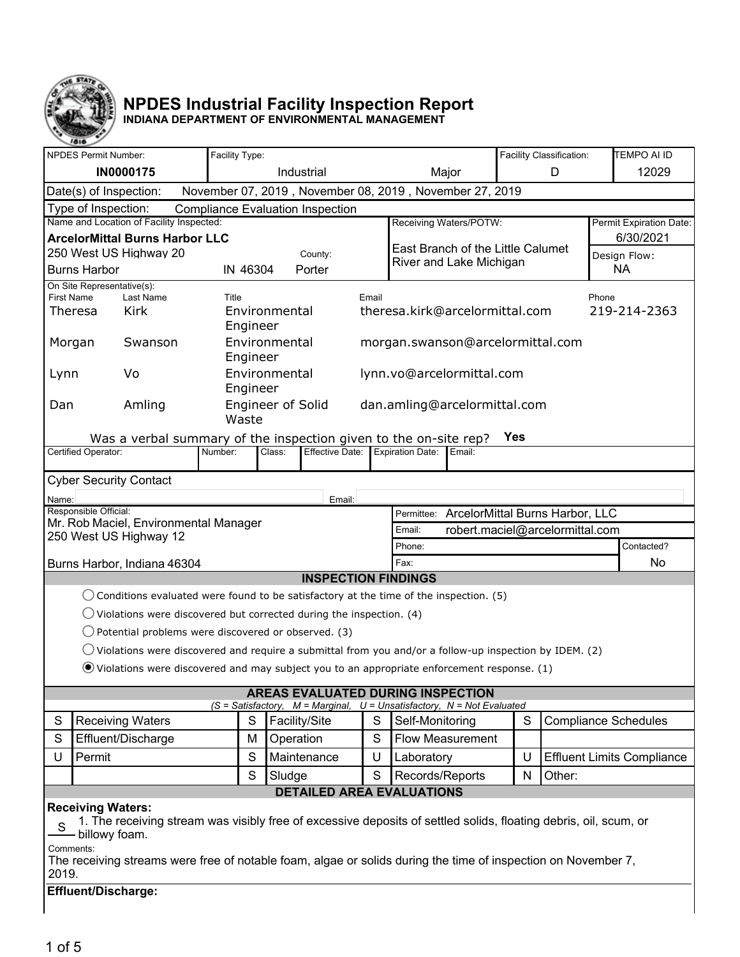

# **NPDES Industrial Facility Inspection Report**

**INDIANA DEPARTMENT OF ENVIRONMENTAL MANAGEMENT**

|                                                                                               | $\sim$<br><b>NPDES Permit Number:</b>                                                                                                                         |                                                                                                                   | Facility Type:                                     |               |                                                                                                                     |   |                                  |                                            |       | Facility Classification: |  | <b>TEMPO AI ID</b>                |
|-----------------------------------------------------------------------------------------------|---------------------------------------------------------------------------------------------------------------------------------------------------------------|-------------------------------------------------------------------------------------------------------------------|----------------------------------------------------|---------------|---------------------------------------------------------------------------------------------------------------------|---|----------------------------------|--------------------------------------------|-------|--------------------------|--|-----------------------------------|
|                                                                                               |                                                                                                                                                               | <b>IN0000175</b>                                                                                                  |                                                    |               | Industrial                                                                                                          |   | Major<br>D                       |                                            | 12029 |                          |  |                                   |
| November 07, 2019, November 08, 2019, November 27, 2019<br>Date(s) of Inspection:             |                                                                                                                                                               |                                                                                                                   |                                                    |               |                                                                                                                     |   |                                  |                                            |       |                          |  |                                   |
|                                                                                               | Type of Inspection:<br><b>Compliance Evaluation Inspection</b>                                                                                                |                                                                                                                   |                                                    |               |                                                                                                                     |   |                                  |                                            |       |                          |  |                                   |
| Name and Location of Facility Inspected:<br>Receiving Waters/POTW:<br>Permit Expiration Date: |                                                                                                                                                               |                                                                                                                   |                                                    |               |                                                                                                                     |   |                                  |                                            |       |                          |  |                                   |
| <b>ArcelorMittal Burns Harbor LLC</b><br>East Branch of the Little Calumet                    |                                                                                                                                                               |                                                                                                                   |                                                    |               | 6/30/2021                                                                                                           |   |                                  |                                            |       |                          |  |                                   |
|                                                                                               |                                                                                                                                                               | 250 West US Highway 20                                                                                            | County:<br>Design Flow:<br>River and Lake Michigan |               |                                                                                                                     |   |                                  |                                            |       |                          |  |                                   |
|                                                                                               | <b>Burns Harbor</b><br>IN 46304<br>Porter<br>NA                                                                                                               |                                                                                                                   |                                                    |               |                                                                                                                     |   |                                  |                                            |       |                          |  |                                   |
|                                                                                               | On Site Representative(s):<br>First Name<br>Last Name<br>Title<br>Email<br>Phone                                                                              |                                                                                                                   |                                                    |               |                                                                                                                     |   |                                  |                                            |       |                          |  |                                   |
|                                                                                               | Theresa                                                                                                                                                       | Kirk                                                                                                              | Engineer                                           | Environmental |                                                                                                                     |   | theresa.kirk@arcelormittal.com   |                                            |       |                          |  | 219-214-2363                      |
|                                                                                               | Morgan                                                                                                                                                        | Swanson                                                                                                           | Engineer                                           | Environmental |                                                                                                                     |   | morgan.swanson@arcelormittal.com |                                            |       |                          |  |                                   |
| Lynn                                                                                          |                                                                                                                                                               | Vo                                                                                                                | Engineer                                           | Environmental |                                                                                                                     |   | lynn.vo@arcelormittal.com        |                                            |       |                          |  |                                   |
| Dan                                                                                           |                                                                                                                                                               | Amling                                                                                                            | Waste                                              |               | <b>Engineer of Solid</b>                                                                                            |   | dan.amling@arcelormittal.com     |                                            |       |                          |  |                                   |
|                                                                                               |                                                                                                                                                               | Was a verbal summary of the inspection given to the on-site rep?                                                  |                                                    |               |                                                                                                                     |   |                                  |                                            | Yes   |                          |  |                                   |
|                                                                                               | Certified Operator:                                                                                                                                           |                                                                                                                   | Number:                                            | Class:        | <b>Effective Date:</b>                                                                                              |   | <b>Expiration Date:</b>          | Email:                                     |       |                          |  |                                   |
|                                                                                               |                                                                                                                                                               | <b>Cyber Security Contact</b>                                                                                     |                                                    |               |                                                                                                                     |   |                                  |                                            |       |                          |  |                                   |
|                                                                                               |                                                                                                                                                               |                                                                                                                   |                                                    |               |                                                                                                                     |   |                                  |                                            |       |                          |  |                                   |
| Name:                                                                                         | Responsible Official:                                                                                                                                         |                                                                                                                   |                                                    |               | Email:                                                                                                              |   |                                  | Permittee: ArcelorMittal Burns Harbor, LLC |       |                          |  |                                   |
|                                                                                               |                                                                                                                                                               | Mr. Rob Maciel, Environmental Manager                                                                             |                                                    |               |                                                                                                                     |   | Email:                           | robert.maciel@arcelormittal.com            |       |                          |  |                                   |
|                                                                                               |                                                                                                                                                               | 250 West US Highway 12                                                                                            |                                                    |               |                                                                                                                     |   | Phone:                           |                                            |       |                          |  | Contacted?                        |
|                                                                                               |                                                                                                                                                               | Burns Harbor, Indiana 46304                                                                                       |                                                    |               |                                                                                                                     |   | Fax:                             |                                            |       |                          |  | No                                |
|                                                                                               |                                                                                                                                                               |                                                                                                                   |                                                    |               | <b>INSPECTION FINDINGS</b>                                                                                          |   |                                  |                                            |       |                          |  |                                   |
|                                                                                               |                                                                                                                                                               | $\bigcirc$ Conditions evaluated were found to be satisfactory at the time of the inspection. (5)                  |                                                    |               |                                                                                                                     |   |                                  |                                            |       |                          |  |                                   |
|                                                                                               |                                                                                                                                                               | $\bigcirc$ Violations were discovered but corrected during the inspection. (4)                                    |                                                    |               |                                                                                                                     |   |                                  |                                            |       |                          |  |                                   |
|                                                                                               |                                                                                                                                                               | $\bigcirc$ Potential problems were discovered or observed. (3)                                                    |                                                    |               |                                                                                                                     |   |                                  |                                            |       |                          |  |                                   |
|                                                                                               |                                                                                                                                                               | $\bigcirc$ Violations were discovered and require a submittal from you and/or a follow-up inspection by IDEM. (2) |                                                    |               |                                                                                                                     |   |                                  |                                            |       |                          |  |                                   |
|                                                                                               |                                                                                                                                                               | $\bullet$ Violations were discovered and may subject you to an appropriate enforcement response. (1)              |                                                    |               |                                                                                                                     |   |                                  |                                            |       |                          |  |                                   |
|                                                                                               |                                                                                                                                                               |                                                                                                                   |                                                    |               |                                                                                                                     |   |                                  |                                            |       |                          |  |                                   |
|                                                                                               |                                                                                                                                                               |                                                                                                                   |                                                    |               | <b>AREAS EVALUATED DURING INSPECTION</b><br>$(S = Satisfactory, M = Marginal, U = Unsatisfactory, N = Not Evaluate$ |   |                                  |                                            |       |                          |  |                                   |
| S                                                                                             |                                                                                                                                                               | <b>Receiving Waters</b>                                                                                           | S                                                  |               | Facility/Site                                                                                                       | S | Self-Monitoring                  |                                            | S     |                          |  | <b>Compliance Schedules</b>       |
| S                                                                                             |                                                                                                                                                               | Effluent/Discharge                                                                                                | M                                                  |               | Operation                                                                                                           | S |                                  | <b>Flow Measurement</b>                    |       |                          |  |                                   |
| U                                                                                             | Permit                                                                                                                                                        |                                                                                                                   | S                                                  |               | Maintenance                                                                                                         | U | Laboratory                       |                                            | U     |                          |  | <b>Effluent Limits Compliance</b> |
|                                                                                               |                                                                                                                                                               |                                                                                                                   | S                                                  |               | Sludge                                                                                                              | S | Records/Reports                  |                                            | N     | Other:                   |  |                                   |
|                                                                                               |                                                                                                                                                               |                                                                                                                   |                                                    |               | <b>DETAILED AREA EVALUATIONS</b>                                                                                    |   |                                  |                                            |       |                          |  |                                   |
| S                                                                                             | <b>Receiving Waters:</b><br>1. The receiving stream was visibly free of excessive deposits of settled solids, floating debris, oil, scum, or<br>billowy foam. |                                                                                                                   |                                                    |               |                                                                                                                     |   |                                  |                                            |       |                          |  |                                   |
|                                                                                               | Comments:<br>The receiving streams were free of notable foam, algae or solids during the time of inspection on November 7,<br>2019.                           |                                                                                                                   |                                                    |               |                                                                                                                     |   |                                  |                                            |       |                          |  |                                   |
|                                                                                               | Effluent/Discharge:                                                                                                                                           |                                                                                                                   |                                                    |               |                                                                                                                     |   |                                  |                                            |       |                          |  |                                   |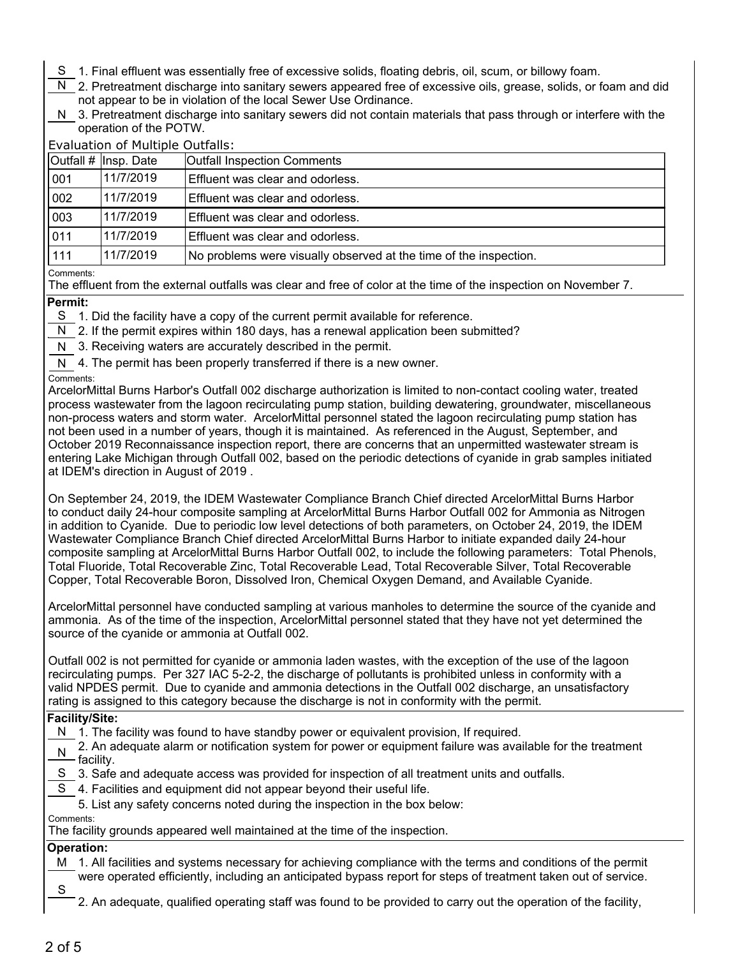- S 1. Final effluent was essentially free of excessive solids, floating debris, oil, scum, or billowy foam.
- N 2. Pretreatment discharge into sanitary sewers appeared free of excessive oils, grease, solids, or foam and did not appear to be in violation of the local Sewer Use Ordinance.
- N 3. Pretreatment discharge into sanitary sewers did not contain materials that pass through or interfere with the operation of the POTW.

| <b>Evaluation of Multiple Outfalls:</b> |  |
|-----------------------------------------|--|
|                                         |  |

|                      | Outfall $#$ Insp. Date | <b>Outfall Inspection Comments</b>                                |
|----------------------|------------------------|-------------------------------------------------------------------|
| 001                  | 11/7/2019              | Effluent was clear and odorless.                                  |
| 002                  | 11/7/2019              | Effluent was clear and odorless.                                  |
| 003                  | 11/7/2019              | Effluent was clear and odorless.                                  |
| 011                  | 11/7/2019              | Effluent was clear and odorless.                                  |
| 111                  | 11/7/2019              | No problems were visually observed at the time of the inspection. |
| $\sim$ $\sim$ $\sim$ |                        |                                                                   |

#### Comments:

The effluent from the external outfalls was clear and free of color at the time of the inspection on November 7.

#### **Permit:**

- S 1. Did the facility have a copy of the current permit available for reference.
- N 2. If the permit expires within 180 days, has a renewal application been submitted?
- N 3. Receiving waters are accurately described in the permit.
- N 4. The permit has been properly transferred if there is a new owner.

#### Comments:

ArcelorMittal Burns Harbor's Outfall 002 discharge authorization is limited to non-contact cooling water, treated process wastewater from the lagoon recirculating pump station, building dewatering, groundwater, miscellaneous non-process waters and storm water. ArcelorMittal personnel stated the lagoon recirculating pump station has not been used in a number of years, though it is maintained. As referenced in the August, September, and October 2019 Reconnaissance inspection report, there are concerns that an unpermitted wastewater stream is entering Lake Michigan through Outfall 002, based on the periodic detections of cyanide in grab samples initiated at IDEM's direction in August of 2019 .

On September 24, 2019, the IDEM Wastewater Compliance Branch Chief directed ArcelorMittal Burns Harbor to conduct daily 24-hour composite sampling at ArcelorMittal Burns Harbor Outfall 002 for Ammonia as Nitrogen in addition to Cyanide. Due to periodic low level detections of both parameters, on October 24, 2019, the IDEM Wastewater Compliance Branch Chief directed ArcelorMittal Burns Harbor to initiate expanded daily 24-hour composite sampling at ArcelorMittal Burns Harbor Outfall 002, to include the following parameters: Total Phenols, Total Fluoride, Total Recoverable Zinc, Total Recoverable Lead, Total Recoverable Silver, Total Recoverable Copper, Total Recoverable Boron, Dissolved Iron, Chemical Oxygen Demand, and Available Cyanide.

ArcelorMittal personnel have conducted sampling at various manholes to determine the source of the cyanide and ammonia. As of the time of the inspection, ArcelorMittal personnel stated that they have not yet determined the source of the cyanide or ammonia at Outfall 002.

Outfall 002 is not permitted for cyanide or ammonia laden wastes, with the exception of the use of the lagoon recirculating pumps. Per 327 IAC 5-2-2, the discharge of pollutants is prohibited unless in conformity with a valid NPDES permit. Due to cyanide and ammonia detections in the Outfall 002 discharge, an unsatisfactory rating is assigned to this category because the discharge is not in conformity with the permit.

#### **Facility/Site:**

- N 1. The facility was found to have standby power or equivalent provision, If required.
- N 2. An adequate alarm or notification system for power or equipment failure was available for the treatment<br>— facility.
- S 3. Safe and adequate access was provided for inspection of all treatment units and outfalls.
- S 4. Facilities and equipment did not appear beyond their useful life.
- 5. List any safety concerns noted during the inspection in the box below:

# Comments:

The facility grounds appeared well maintained at the time of the inspection.

# **Operation:**

- M 1. All facilities and systems necessary for achieving compliance with the terms and conditions of the permit were operated efficiently, including an anticipated bypass report for steps of treatment taken out of service.
- S

2. An adequate, qualified operating staff was found to be provided to carry out the operation of the facility,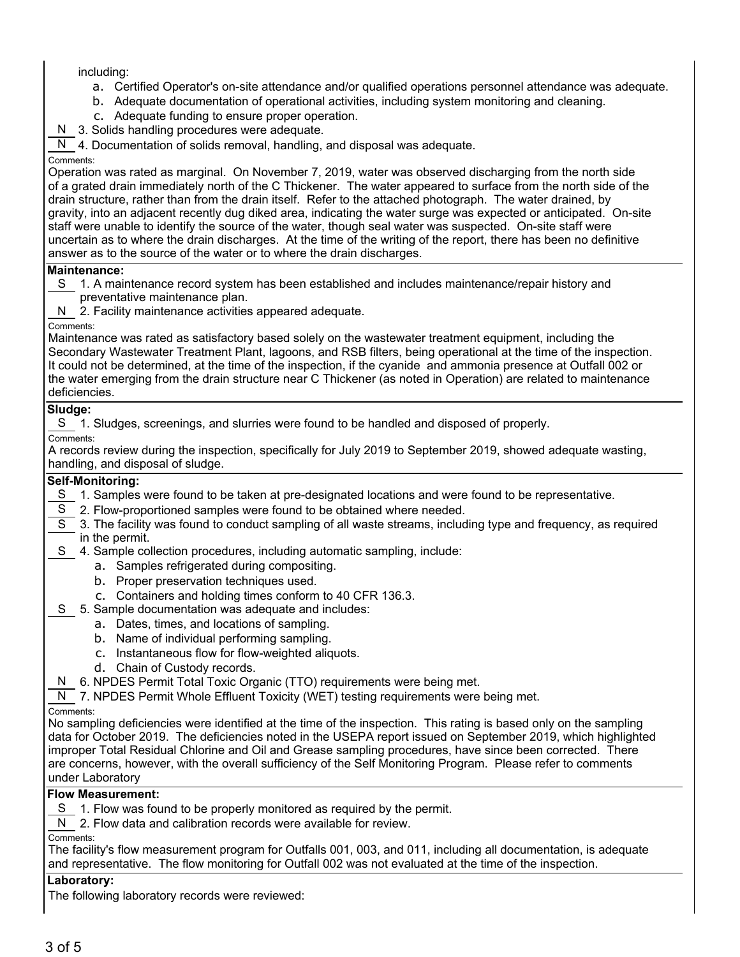including:

- a. Certified Operator's on-site attendance and/or qualified operations personnel attendance was adequate.
- b. Adequate documentation of operational activities, including system monitoring and cleaning.
- c. Adequate funding to ensure proper operation.
- N 3. Solids handling procedures were adequate.

N 4. Documentation of solids removal, handling, and disposal was adequate.

### Comments:

Operation was rated as marginal. On November 7, 2019, water was observed discharging from the north side of a grated drain immediately north of the C Thickener. The water appeared to surface from the north side of the drain structure, rather than from the drain itself. Refer to the attached photograph. The water drained, by gravity, into an adjacent recently dug diked area, indicating the water surge was expected or anticipated. On-site staff were unable to identify the source of the water, though seal water was suspected. On-site staff were uncertain as to where the drain discharges. At the time of the writing of the report, there has been no definitive answer as to the source of the water or to where the drain discharges.

### **Maintenance:**

S 1. A maintenance record system has been established and includes maintenance/repair history and preventative maintenance plan.

N 2. Facility maintenance activities appeared adequate.

Comments:

Maintenance was rated as satisfactory based solely on the wastewater treatment equipment, including the Secondary Wastewater Treatment Plant, lagoons, and RSB filters, being operational at the time of the inspection. It could not be determined, at the time of the inspection, if the cyanide and ammonia presence at Outfall 002 or the water emerging from the drain structure near C Thickener (as noted in Operation) are related to maintenance deficiencies.

# **Sludge:**

S 1. Sludges, screenings, and slurries were found to be handled and disposed of properly.

Comments:

A records review during the inspection, specifically for July 2019 to September 2019, showed adequate wasting, handling, and disposal of sludge.

## **Self-Monitoring:**

- S 1. Samples were found to be taken at pre-designated locations and were found to be representative.
- S 2. Flow-proportioned samples were found to be obtained where needed.
- S 3. The facility was found to conduct sampling of all waste streams, including type and frequency, as required in the permit.
- S 4. Sample collection procedures, including automatic sampling, include:
	- a. Samples refrigerated during compositing.
	- b. Proper preservation techniques used.
	- c. Containers and holding times conform to 40 CFR 136.3.

# S 5. Sample documentation was adequate and includes:

- a. Dates, times, and locations of sampling.
- b. Name of individual performing sampling.
- c. Instantaneous flow for flow-weighted aliquots.
- d. Chain of Custody records.
- N 6. NPDES Permit Total Toxic Organic (TTO) requirements were being met.
- N 7. NPDES Permit Whole Effluent Toxicity (WET) testing requirements were being met.

Comments:

No sampling deficiencies were identified at the time of the inspection. This rating is based only on the sampling data for October 2019. The deficiencies noted in the USEPA report issued on September 2019, which highlighted improper Total Residual Chlorine and Oil and Grease sampling procedures, have since been corrected. There are concerns, however, with the overall sufficiency of the Self Monitoring Program. Please refer to comments under Laboratory

### **Flow Measurement:**

S 1. Flow was found to be properly monitored as required by the permit.

N 2. Flow data and calibration records were available for review.

Comments:

The facility's flow measurement program for Outfalls 001, 003, and 011, including all documentation, is adequate and representative. The flow monitoring for Outfall 002 was not evaluated at the time of the inspection.

# **Laboratory:**

The following laboratory records were reviewed: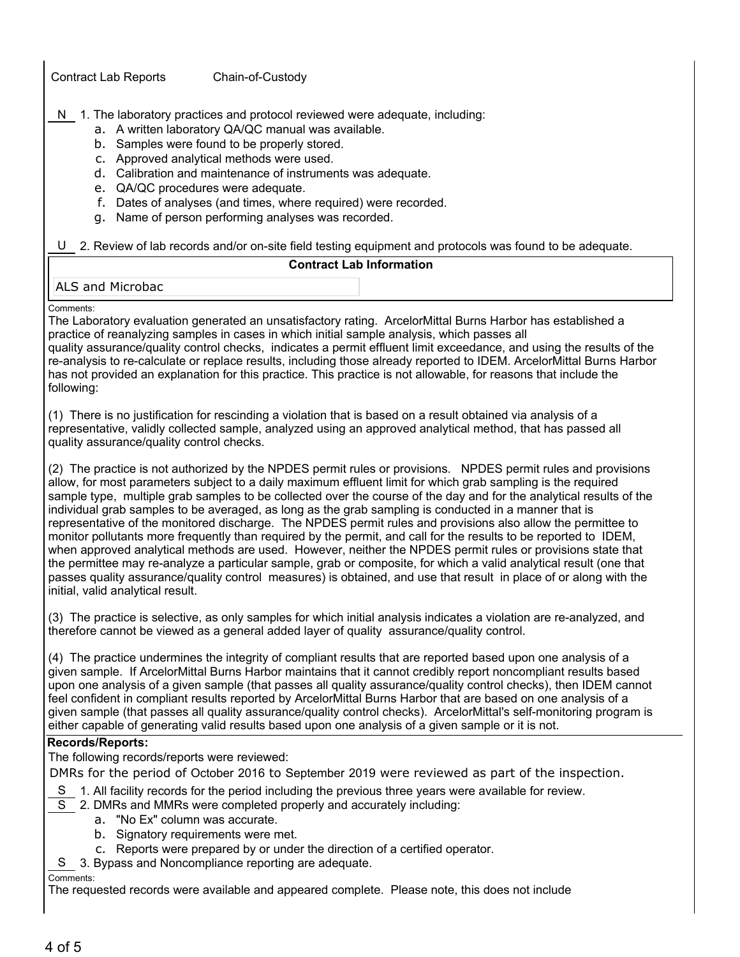Contract Lab Reports Chain-of-Custody

- N 1. The laboratory practices and protocol reviewed were adequate, including:
	- a. A written laboratory QA/QC manual was available.
	- b. Samples were found to be properly stored.
	- c. Approved analytical methods were used.
	- d. Calibration and maintenance of instruments was adequate.
	- e. QA/QC procedures were adequate.
	- f. Dates of analyses (and times, where required) were recorded.
	- g. Name of person performing analyses was recorded.

U 2. Review of lab records and/or on-site field testing equipment and protocols was found to be adequate.

# **Contract Lab Information**

## ALS and Microbac

### Comments:

The Laboratory evaluation generated an unsatisfactory rating. ArcelorMittal Burns Harbor has established a practice of reanalyzing samples in cases in which initial sample analysis, which passes all quality assurance/quality control checks, indicates a permit effluent limit exceedance, and using the results of the re-analysis to re-calculate or replace results, including those already reported to IDEM. ArcelorMittal Burns Harbor has not provided an explanation for this practice. This practice is not allowable, for reasons that include the following:

(1) There is no justification for rescinding a violation that is based on a result obtained via analysis of a representative, validly collected sample, analyzed using an approved analytical method, that has passed all quality assurance/quality control checks.

(2) The practice is not authorized by the NPDES permit rules or provisions. NPDES permit rules and provisions allow, for most parameters subject to a daily maximum effluent limit for which grab sampling is the required sample type, multiple grab samples to be collected over the course of the day and for the analytical results of the individual grab samples to be averaged, as long as the grab sampling is conducted in a manner that is representative of the monitored discharge. The NPDES permit rules and provisions also allow the permittee to monitor pollutants more frequently than required by the permit, and call for the results to be reported to IDEM, when approved analytical methods are used. However, neither the NPDES permit rules or provisions state that the permittee may re-analyze a particular sample, grab or composite, for which a valid analytical result (one that passes quality assurance/quality control measures) is obtained, and use that result in place of or along with the initial, valid analytical result.

(3) The practice is selective, as only samples for which initial analysis indicates a violation are re-analyzed, and therefore cannot be viewed as a general added layer of quality assurance/quality control.

(4) The practice undermines the integrity of compliant results that are reported based upon one analysis of a given sample. If ArcelorMittal Burns Harbor maintains that it cannot credibly report noncompliant results based upon one analysis of a given sample (that passes all quality assurance/quality control checks), then IDEM cannot feel confident in compliant results reported by ArcelorMittal Burns Harbor that are based on one analysis of a given sample (that passes all quality assurance/quality control checks). ArcelorMittal's self-monitoring program is either capable of generating valid results based upon one analysis of a given sample or it is not.

# **Records/Reports:**

The following records/reports were reviewed:

DMRs for the period of October 2016 to September 2019 were reviewed as part of the inspection.

- S 1. All facility records for the period including the previous three years were available for review.
- S 2. DMRs and MMRs were completed properly and accurately including:
	- a. "No Ex" column was accurate.
	- b. Signatory requirements were met.
	- c. Reports were prepared by or under the direction of a certified operator.
- S 3. Bypass and Noncompliance reporting are adequate.

### Comments:

The requested records were available and appeared complete. Please note, this does not include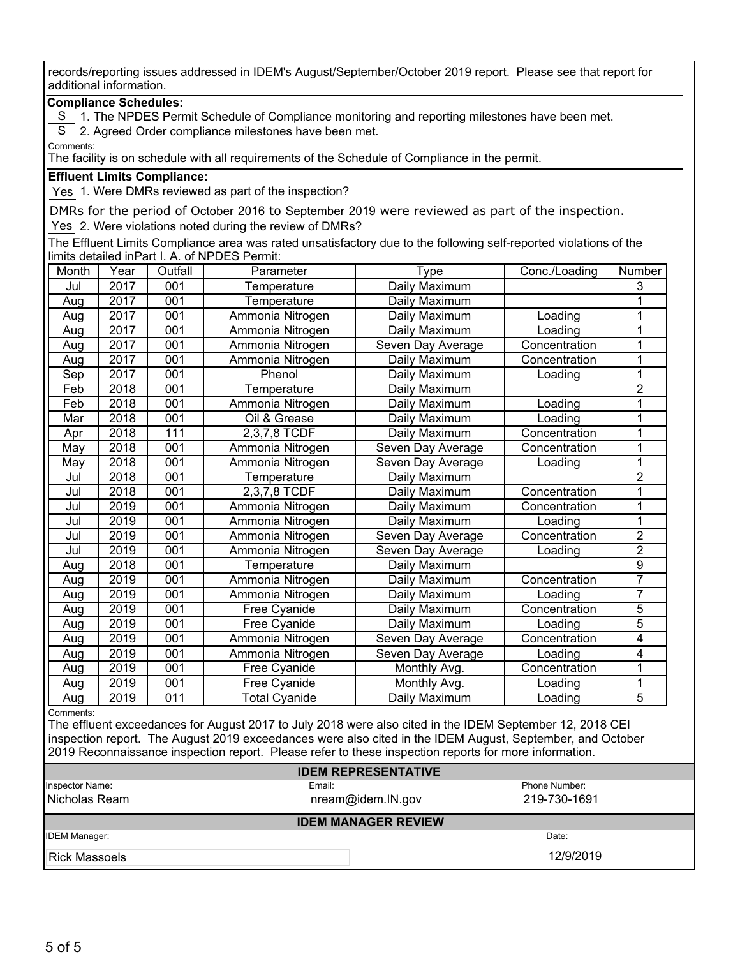records/reporting issues addressed in IDEM's August/September/October 2019 report. Please see that report for additional information.

## **Compliance Schedules:**

S 1. The NPDES Permit Schedule of Compliance monitoring and reporting milestones have been met.

S 2. Agreed Order compliance milestones have been met.

Comments:

The facility is on schedule with all requirements of the Schedule of Compliance in the permit.

### **Effluent Limits Compliance:**

Yes 1. Were DMRs reviewed as part of the inspection?

DMRs for the period of October 2016 to September 2019 were reviewed as part of the inspection. Yes 2. Were violations noted during the review of DMRs?

The Effluent Limits Compliance area was rated unsatisfactory due to the following self-reported violations of the limits detailed inPart I. A. of NPDES Permit:

| Month | Year | Outfall          | Parameter            | Type              | Conc./Loading | Number         |
|-------|------|------------------|----------------------|-------------------|---------------|----------------|
| Jul   | 2017 | 001              | Temperature          | Daily Maximum     |               | 3              |
| Aug   | 2017 | 001              | Temperature          | Daily Maximum     |               |                |
| Aug   | 2017 | 001              | Ammonia Nitrogen     | Daily Maximum     | Loading       |                |
| Aug   | 2017 | 001              | Ammonia Nitrogen     | Daily Maximum     | Loading       |                |
| Aug   | 2017 | 001              | Ammonia Nitrogen     | Seven Day Average | Concentration | 1              |
| Aug   | 2017 | 001              | Ammonia Nitrogen     | Daily Maximum     | Concentration | 1              |
| Sep   | 2017 | 001              | Phenol               | Daily Maximum     | Loading       | 1              |
| Feb   | 2018 | 001              | Temperature          | Daily Maximum     |               | $\overline{2}$ |
| Feb   | 2018 | 001              | Ammonia Nitrogen     | Daily Maximum     | Loading       |                |
| Mar   | 2018 | 001              | Oil & Grease         | Daily Maximum     | Loading       |                |
| Apr   | 2018 | 111              | 2,3,7,8 TCDF         | Daily Maximum     | Concentration |                |
| May   | 2018 | 001              | Ammonia Nitrogen     | Seven Day Average | Concentration | 1              |
| May   | 2018 | 001              | Ammonia Nitrogen     | Seven Day Average | Loading       |                |
| Jul   | 2018 | $\overline{001}$ | Temperature          | Daily Maximum     |               | $\overline{2}$ |
| Jul   | 2018 | 001              | 2,3,7,8 TCDF         | Daily Maximum     | Concentration |                |
| Jul   | 2019 | 001              | Ammonia Nitrogen     | Daily Maximum     | Concentration |                |
| Jul   | 2019 | 001              | Ammonia Nitrogen     | Daily Maximum     | Loading       |                |
| Jul   | 2019 | 001              | Ammonia Nitrogen     | Seven Day Average | Concentration | $\overline{2}$ |
| Jul   | 2019 | 001              | Ammonia Nitrogen     | Seven Day Average | Loading       | $\overline{2}$ |
| Aug   | 2018 | 001              | Temperature          | Daily Maximum     |               | 9              |
| Aug   | 2019 | 001              | Ammonia Nitrogen     | Daily Maximum     | Concentration | 7              |
| Aug   | 2019 | 001              | Ammonia Nitrogen     | Daily Maximum     | Loading       | $\overline{7}$ |
| Aug   | 2019 | 001              | Free Cyanide         | Daily Maximum     | Concentration | 5              |
| Aug   | 2019 | 001              | Free Cyanide         | Daily Maximum     | Loading       | 5              |
| Aug   | 2019 | 001              | Ammonia Nitrogen     | Seven Day Average | Concentration | 4              |
| Aug   | 2019 | 001              | Ammonia Nitrogen     | Seven Day Average | Loading       | 4              |
| Aug   | 2019 | 001              | Free Cyanide         | Monthly Avg.      | Concentration | 1              |
| Aug   | 2019 | 001              | Free Cyanide         | Monthly Avg.      | Loading       |                |
| Aug   | 2019 | 011              | <b>Total Cyanide</b> | Daily Maximum     | Loading       | 5              |

Comments:

The effluent exceedances for August 2017 to July 2018 were also cited in the IDEM September 12, 2018 CEI inspection report. The August 2019 exceedances were also cited in the IDEM August, September, and October 2019 Reconnaissance inspection report. Please refer to these inspection reports for more information.

|                      | <b>IDEM REPRESENTATIVE</b> |               |
|----------------------|----------------------------|---------------|
| Inspector Name:      | Email:                     | Phone Number: |
| Nicholas Ream        | nream@idem.IN.gov          | 219-730-1691  |
|                      | <b>IDEM MANAGER REVIEW</b> |               |
| <b>IDEM Manager:</b> |                            | Date:         |
| I Rick Massoels      |                            | 12/9/2019     |